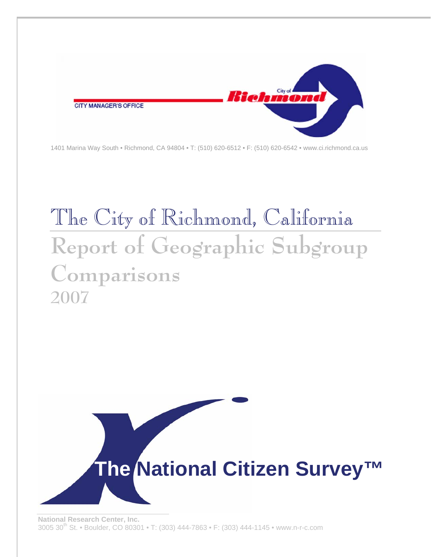

1401 Marina Way South • Richmond, CA 94804 • T: (510) 620-6512 • F: (510) 620-6542 • www.ci.richmond.ca.us

# The City of Richmond, California **Report of Geographic Subgroup Comparisons 2007**

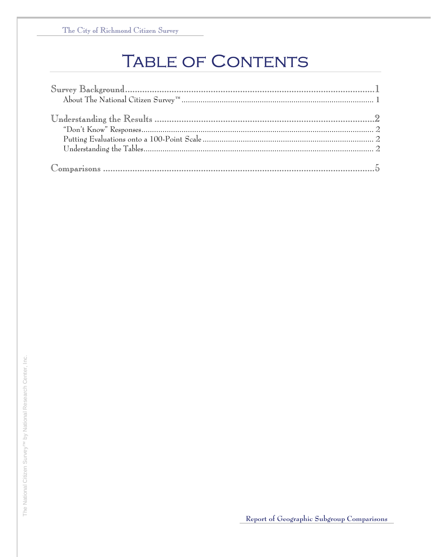## **TABLE OF CONTENTS**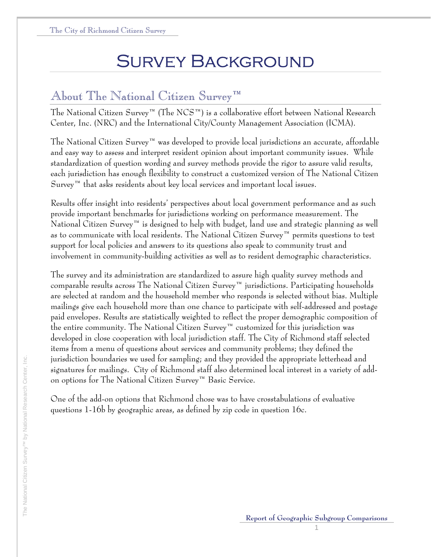## Survey Background

### About The National Citizen Survey™

The National Citizen Survey™ (The NCS™) is a collaborative effort between National Research Center, Inc. (NRC) and the International City/County Management Association (ICMA).

The National Citizen Survey™ was developed to provide local jurisdictions an accurate, affordable and easy way to assess and interpret resident opinion about important community issues. While standardization of question wording and survey methods provide the rigor to assure valid results, each jurisdiction has enough flexibility to construct a customized version of The National Citizen  $S$ urvey<sup>™</sup> that asks residents about key local services and important local issues.

Results offer insight into residents' perspectives about local government performance and as such provide important benchmarks for jurisdictions working on performance measurement. The National Citizen Survey™ is designed to help with budget, land use and strategic planning as well as to communicate with local residents. The National Citizen Survey™ permits questions to test support for local policies and answers to its questions also speak to community trust and involvement in community-building activities as well as to resident demographic characteristics.

The survey and its administration are standardized to assure high quality survey methods and comparable results across The National Citizen Survey™ jurisdictions. Participating households are selected at random and the household member who responds is selected without bias. Multiple mailings give each household more than one chance to participate with self-addressed and postage paid envelopes. Results are statistically weighted to reflect the proper demographic composition of the entire community. The National Citizen Survey™ customized for this jurisdiction was developed in close cooperation with local jurisdiction staff. The City of Richmond staff selected items from a menu of questions about services and community problems; they defined the jurisdiction boundaries we used for sampling; and they provided the appropriate letterhead and signatures for mailings. City of Richmond staff also determined local interest in a variety of addon options for The National Citizen Survey™ Basic Service.

One of the add-on options that Richmond chose was to have crosstabulations of evaluative questions 1-16b by geographic areas, as defined by zip code in question 16c.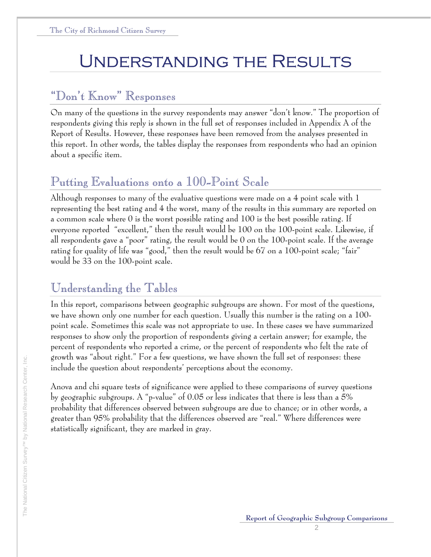## Understanding the Results

### "Don't Know" Responses

On many of the questions in the survey respondents may answer "don't know." The proportion of respondents giving this reply is shown in the full set of responses included in Appendix A of the Report of Results. However, these responses have been removed from the analyses presented in this report. In other words, the tables display the responses from respondents who had an opinion about a specific item.

### Putting Evaluations onto a 100-Point Scale

Although responses to many of the evaluative questions were made on a 4 point scale with 1 representing the best rating and 4 the worst, many of the results in this summary are reported on a common scale where 0 is the worst possible rating and 100 is the best possible rating. If everyone reported "excellent," then the result would be 100 on the 100-point scale. Likewise, if all respondents gave a "poor" rating, the result would be 0 on the 100-point scale. If the average rating for quality of life was "good," then the result would be 67 on a 100-point scale; "fair" would be 33 on the 100-point scale.

### Understanding the Tables

In this report, comparisons between geographic subgroups are shown. For most of the questions, we have shown only one number for each question. Usually this number is the rating on a 100 point scale. Sometimes this scale was not appropriate to use. In these cases we have summarized responses to show only the proportion of respondents giving a certain answer; for example, the percent of respondents who reported a crime, or the percent of respondents who felt the rate of growth was "about right." For a few questions, we have shown the full set of responses: these include the question about respondents' perceptions about the economy.

Anova and chi square tests of significance were applied to these comparisons of survey questions by geographic subgroups. A "p-value" of 0.05 or less indicates that there is less than a 5% probability that differences observed between subgroups are due to chance; or in other words, a greater than 95% probability that the differences observed are "real." Where differences were statistically significant, they are marked in gray.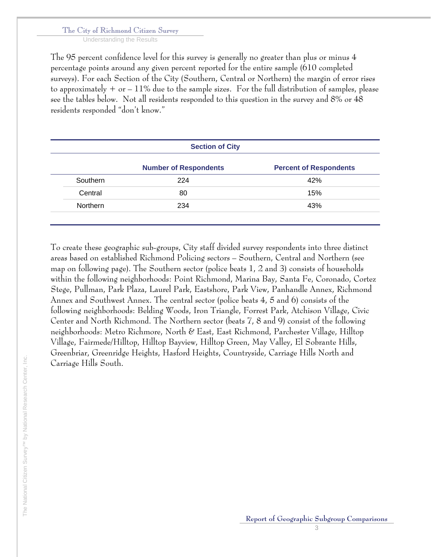Understanding the Results

The 95 percent confidence level for this survey is generally no greater than plus or minus 4 percentage points around any given percent reported for the entire sample (610 completed surveys). For each Section of the City (Southern, Central or Northern) the margin of error rises to approximately  $+$  or  $-11\%$  due to the sample sizes. For the full distribution of samples, please see the tables below. Not all residents responded to this question in the survey and 8% or 48 residents responded "don't know."

|          | <b>Section of City</b>       |                               |
|----------|------------------------------|-------------------------------|
|          | <b>Number of Respondents</b> | <b>Percent of Respondents</b> |
| Southern | 224                          | 42%                           |
| Central  | 80                           | 15%                           |
| Northern | 234                          | 43%                           |

To create these geographic sub-groups, City staff divided survey respondents into three distinct areas based on established Richmond Policing sectors – Southern, Central and Northern (see map on following page). The Southern sector (police beats 1, 2 and 3) consists of households within the following neighborhoods: Point Richmond, Marina Bay, Santa Fe, Coronado, Cortez Stege, Pullman, Park Plaza, Laurel Park, Eastshore, Park View, Panhandle Annex, Richmond Annex and Southwest Annex. The central sector (police beats 4, 5 and 6) consists of the following neighborhoods: Belding Woods, Iron Triangle, Forrest Park, Atchison Village, Civic Center and North Richmond. The Northern sector (beats 7, 8 and 9) consist of the following neighborhoods: Metro Richmore, North & East, East Richmond, Parchester Village, Hilltop Village, Fairmede/Hilltop, Hilltop Bayview, Hilltop Green, May Valley, El Sobrante Hills, Greenbriar, Greenridge Heights, Hasford Heights, Countryside, Carriage Hills North and Carriage Hills South.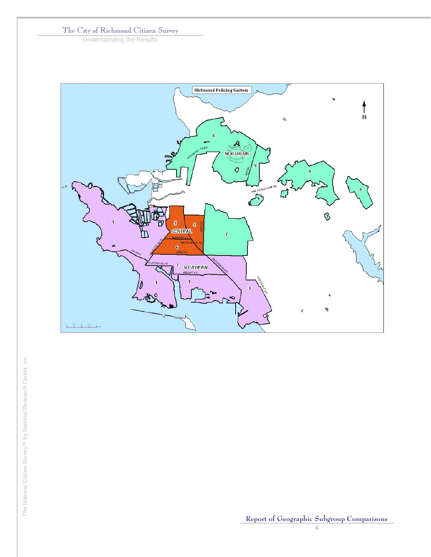Understanding the Results



The National Citizen Survey™ by National Research Center, Inc. The National Citizen Survey<sup>TM</sup> by National Research Center, Inc.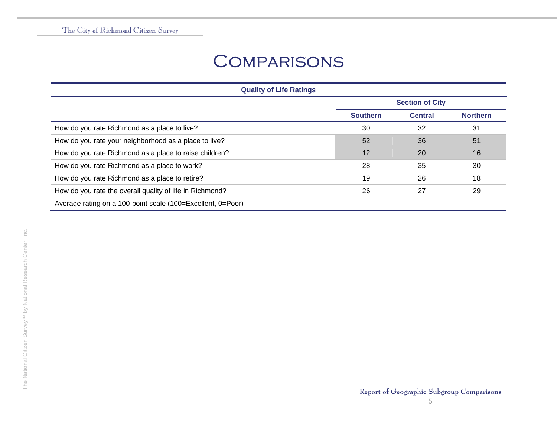## **COMPARISONS**

| <b>Quality of Life Ratings</b>                              |                 |                        |                 |
|-------------------------------------------------------------|-----------------|------------------------|-----------------|
|                                                             |                 | <b>Section of City</b> |                 |
|                                                             | <b>Southern</b> | <b>Central</b>         | <b>Northern</b> |
| How do you rate Richmond as a place to live?                | 30              | 32                     | 31              |
| How do you rate your neighborhood as a place to live?       | 52              | 36                     | 51              |
| How do you rate Richmond as a place to raise children?      | 12              | <b>20</b>              | 16              |
| How do you rate Richmond as a place to work?                | 28              | 35                     | 30              |
| How do you rate Richmond as a place to retire?              | 19              | 26                     | 18              |
| How do you rate the overall quality of life in Richmond?    | 26              | 27                     | 29              |
| Average rating on a 100-point scale (100=Excellent, 0=Poor) |                 |                        |                 |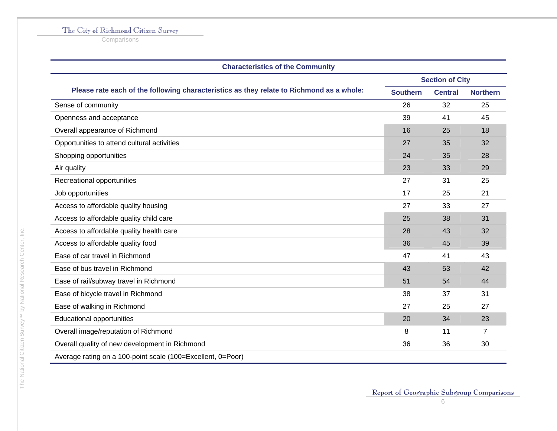**Comparisons** 

| <b>Characteristics of the Community</b>                                                  |                        |                |                 |
|------------------------------------------------------------------------------------------|------------------------|----------------|-----------------|
|                                                                                          | <b>Section of City</b> |                |                 |
| Please rate each of the following characteristics as they relate to Richmond as a whole: | <b>Southern</b>        | <b>Central</b> | <b>Northern</b> |
| Sense of community                                                                       | 26                     | 32             | 25              |
| Openness and acceptance                                                                  | 39                     | 41             | 45              |
| Overall appearance of Richmond                                                           | 16                     | 25             | 18              |
| Opportunities to attend cultural activities                                              | 27                     | 35             | 32              |
| Shopping opportunities                                                                   | 24                     | 35             | 28              |
| Air quality                                                                              | 23                     | 33             | 29              |
| Recreational opportunities                                                               | 27                     | 31             | 25              |
| Job opportunities                                                                        | 17                     | 25             | 21              |
| Access to affordable quality housing                                                     | 27                     | 33             | 27              |
| Access to affordable quality child care                                                  | 25                     | 38             | 31              |
| Access to affordable quality health care                                                 | 28                     | 43             | 32              |
| Access to affordable quality food                                                        | 36                     | 45             | 39              |
| Ease of car travel in Richmond                                                           | 47                     | 41             | 43              |
| Ease of bus travel in Richmond                                                           | 43                     | 53             | 42              |
| Ease of rail/subway travel in Richmond                                                   | 51                     | 54             | 44              |
| Ease of bicycle travel in Richmond                                                       | 38                     | 37             | 31              |
| Ease of walking in Richmond                                                              | 27                     | 25             | 27              |
| <b>Educational opportunities</b>                                                         | 20                     | 34             | 23              |
| Overall image/reputation of Richmond                                                     | 8                      | 11             | $\overline{7}$  |
| Overall quality of new development in Richmond                                           | 36                     | 36             | 30              |
| Average rating on a 100-point scale (100=Excellent, 0=Poor)                              |                        |                |                 |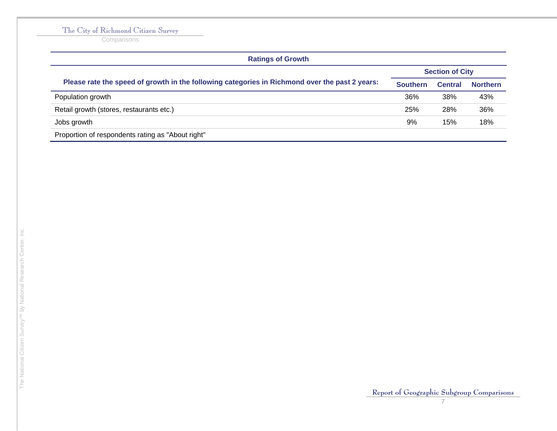**Comparisons** 

| <b>Ratings of Growth</b>                                                                       |                 |                        |                 |
|------------------------------------------------------------------------------------------------|-----------------|------------------------|-----------------|
|                                                                                                |                 | <b>Section of City</b> |                 |
| Please rate the speed of growth in the following categories in Richmond over the past 2 years: | <b>Southern</b> | <b>Central</b>         | <b>Northern</b> |
| Population growth                                                                              | 36%             | 38%                    | 43%             |
| Retail growth (stores, restaurants etc.)                                                       | 25%             | 28%                    | 36%             |
| Jobs growth                                                                                    | 9%              | 15%                    | 18%             |
| Proportion of respondents rating as "About right"                                              |                 |                        |                 |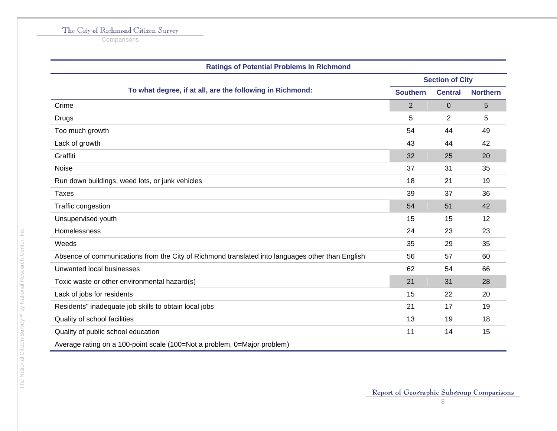**Comparisons** 

| <b>Ratings of Potential Problems in Richmond</b>                                                 |                        |                |                 |  |
|--------------------------------------------------------------------------------------------------|------------------------|----------------|-----------------|--|
|                                                                                                  | <b>Section of City</b> |                |                 |  |
| To what degree, if at all, are the following in Richmond:                                        | <b>Southern</b>        | <b>Central</b> | <b>Northern</b> |  |
| Crime                                                                                            | 2                      | $\Omega$       | 5               |  |
| Drugs                                                                                            | 5                      | $\overline{2}$ | 5               |  |
| Too much growth                                                                                  | 54                     | 44             | 49              |  |
| Lack of growth                                                                                   | 43                     | 44             | 42              |  |
| Graffiti                                                                                         | 32                     | 25             | 20              |  |
| Noise                                                                                            | 37                     | 31             | 35              |  |
| Run down buildings, weed lots, or junk vehicles                                                  | 18                     | 21             | 19              |  |
| <b>Taxes</b>                                                                                     | 39                     | 37             | 36              |  |
| Traffic congestion                                                                               | 54                     | 51             | 42              |  |
| Unsupervised youth                                                                               | 15                     | 15             | 12              |  |
| Homelessness                                                                                     | 24                     | 23             | 23              |  |
| Weeds                                                                                            | 35                     | 29             | 35              |  |
| Absence of communications from the City of Richmond translated into languages other than English | 56                     | 57             | 60              |  |
| Unwanted local businesses                                                                        | 62                     | 54             | 66              |  |
| Toxic waste or other environmental hazard(s)                                                     | 21                     | 31             | 28              |  |
| Lack of jobs for residents                                                                       | 15                     | 22             | 20              |  |
| Residents" inadequate job skills to obtain local jobs                                            | 21                     | 17             | 19              |  |
| Quality of school facilities                                                                     | 13                     | 19             | 18              |  |
| Quality of public school education                                                               | 11                     | 14             | 15              |  |
| Average rating on a 100-point scale (100=Not a problem, 0=Major problem)                         |                        |                |                 |  |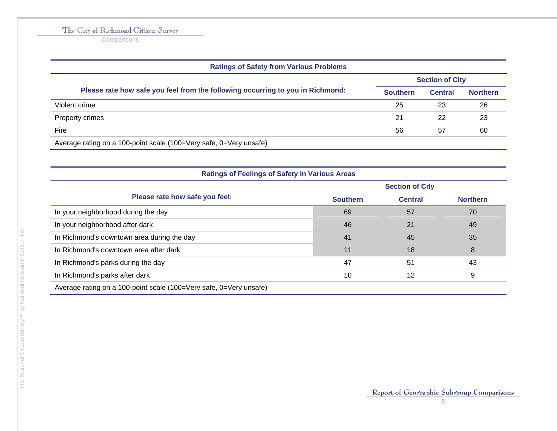**Comparisons** 

| <b>Ratings of Safety from Various Problems</b>                                 |                 |                        |                 |  |
|--------------------------------------------------------------------------------|-----------------|------------------------|-----------------|--|
|                                                                                |                 | <b>Section of City</b> |                 |  |
| Please rate how safe you feel from the following occurring to you in Richmond: | <b>Southern</b> | <b>Central</b>         | <b>Northern</b> |  |
| Violent crime                                                                  | 25              | 23                     | 26              |  |
| Property crimes                                                                | 21              | 22                     | 23              |  |
| Fire                                                                           | 56              | 57                     | 60              |  |
| Average rating on a 100-point scale (100=Very safe, 0=Very unsafe)             |                 |                        |                 |  |

| <b>Ratings of Feelings of Safety in Various Areas</b>              |                        |                |                 |  |
|--------------------------------------------------------------------|------------------------|----------------|-----------------|--|
|                                                                    | <b>Section of City</b> |                |                 |  |
| Please rate how safe you feel:                                     | <b>Southern</b>        | <b>Central</b> | <b>Northern</b> |  |
| In your neighborhood during the day                                | 69                     | 57             | 70              |  |
| In your neighborhood after dark                                    | 46                     | 21             | 49              |  |
| In Richmond's downtown area during the day                         | 41                     | 45             | 35              |  |
| In Richmond's downtown area after dark                             | 11                     | 18             | 8               |  |
| In Richmond's parks during the day                                 | 47                     | 51             | 43              |  |
| In Richmond's parks after dark                                     | 10                     | 12             | 9               |  |
| Average rating on a 100-point scale (100=Very safe, 0=Very unsafe) |                        |                |                 |  |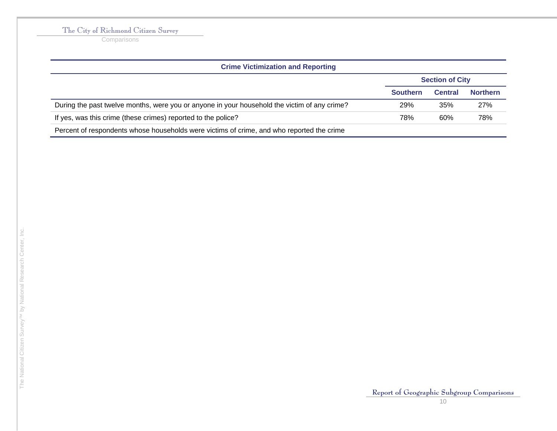**Comparisons** 

| <b>Crime Victimization and Reporting</b>                                                     |                 |                        |                 |
|----------------------------------------------------------------------------------------------|-----------------|------------------------|-----------------|
|                                                                                              |                 | <b>Section of City</b> |                 |
|                                                                                              | <b>Southern</b> | <b>Central</b>         | <b>Northern</b> |
| During the past twelve months, were you or anyone in your household the victim of any crime? | 29%             | 35%                    | 27%             |
| If yes, was this crime (these crimes) reported to the police?                                | 78%             | 60%                    | 78%             |
| Percent of respondents whose households were victims of crime, and who reported the crime    |                 |                        |                 |

j.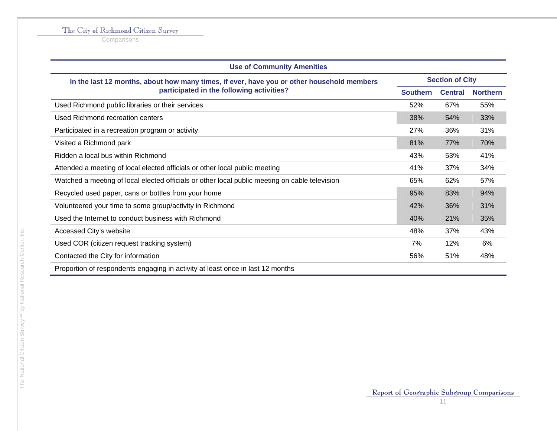**Comparisons** 

| <b>Use of Community Amenities</b>                                                              |     |                        |                 |  |
|------------------------------------------------------------------------------------------------|-----|------------------------|-----------------|--|
| In the last 12 months, about how many times, if ever, have you or other household members      |     | <b>Section of City</b> |                 |  |
| participated in the following activities?                                                      |     | <b>Central</b>         | <b>Northern</b> |  |
| Used Richmond public libraries or their services                                               | 52% | 67%                    | 55%             |  |
| Used Richmond recreation centers                                                               | 38% | 54%                    | 33%             |  |
| Participated in a recreation program or activity                                               | 27% | 36%                    | 31%             |  |
| Visited a Richmond park                                                                        | 81% | 77%                    | 70%             |  |
| Ridden a local bus within Richmond                                                             | 43% | 53%                    | 41%             |  |
| Attended a meeting of local elected officials or other local public meeting                    | 41% | 37%                    | 34%             |  |
| Watched a meeting of local elected officials or other local public meeting on cable television | 65% | 62%                    | 57%             |  |
| Recycled used paper, cans or bottles from your home                                            | 95% | 83%                    | 94%             |  |
| Volunteered your time to some group/activity in Richmond                                       | 42% | 36%                    | 31%             |  |
| Used the Internet to conduct business with Richmond                                            | 40% | 21%                    | 35%             |  |
| Accessed City's website                                                                        | 48% | 37%                    | 43%             |  |
| Used COR (citizen request tracking system)                                                     | 7%  | 12%                    | 6%              |  |
| Contacted the City for information                                                             | 56% | 51%                    | 48%             |  |
| Proportion of respondents engaging in activity at least once in last 12 months                 |     |                        |                 |  |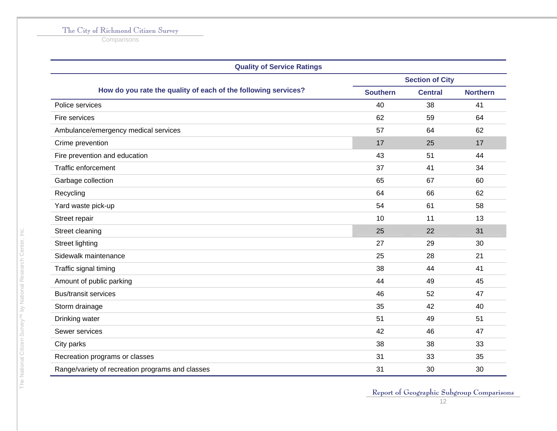**Comparisons** 

| <b>Quality of Service Ratings</b>                              |                        |                |                 |  |
|----------------------------------------------------------------|------------------------|----------------|-----------------|--|
|                                                                | <b>Section of City</b> |                |                 |  |
| How do you rate the quality of each of the following services? | <b>Southern</b>        | <b>Central</b> | <b>Northern</b> |  |
| Police services                                                | 40                     | 38             | 41              |  |
| Fire services                                                  | 62                     | 59             | 64              |  |
| Ambulance/emergency medical services                           | 57                     | 64             | 62              |  |
| Crime prevention                                               | 17                     | 25             | 17              |  |
| Fire prevention and education                                  | 43                     | 51             | 44              |  |
| Traffic enforcement                                            | 37                     | 41             | 34              |  |
| Garbage collection                                             | 65                     | 67             | 60              |  |
| Recycling                                                      | 64                     | 66             | 62              |  |
| Yard waste pick-up                                             | 54                     | 61             | 58              |  |
| Street repair                                                  | 10                     | 11             | 13              |  |
| Street cleaning                                                | 25                     | 22             | 31              |  |
| <b>Street lighting</b>                                         | 27                     | 29             | 30              |  |
| Sidewalk maintenance                                           | 25                     | 28             | 21              |  |
| Traffic signal timing                                          | 38                     | 44             | 41              |  |
| Amount of public parking                                       | 44                     | 49             | 45              |  |
| <b>Bus/transit services</b>                                    | 46                     | 52             | 47              |  |
| Storm drainage                                                 | 35                     | 42             | 40              |  |
| Drinking water                                                 | 51                     | 49             | 51              |  |
| Sewer services                                                 | 42                     | 46             | 47              |  |
| City parks                                                     | 38                     | 38             | 33              |  |
| Recreation programs or classes                                 | 31                     | 33             | 35              |  |
| Range/variety of recreation programs and classes               | 31                     | 30             | 30              |  |

The National Citizen Survey™ by National Research Center, Inc.

The National Citizen Survey<sup>TM</sup> by National Research Center, Inc.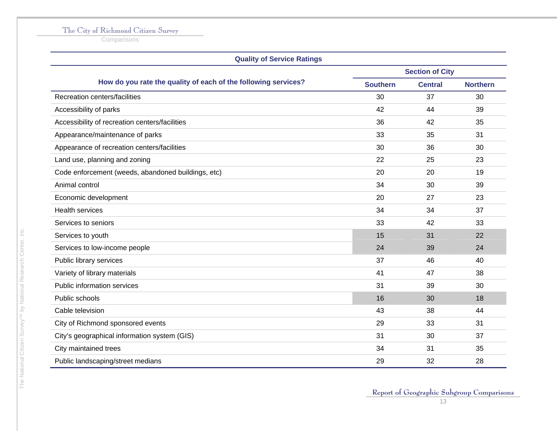**Comparisons** 

| <b>Quality of Service Ratings</b>                              |                        |                |                 |
|----------------------------------------------------------------|------------------------|----------------|-----------------|
|                                                                | <b>Section of City</b> |                |                 |
| How do you rate the quality of each of the following services? | <b>Southern</b>        | <b>Central</b> | <b>Northern</b> |
| Recreation centers/facilities                                  | 30                     | 37             | 30              |
| Accessibility of parks                                         | 42                     | 44             | 39              |
| Accessibility of recreation centers/facilities                 | 36                     | 42             | 35              |
| Appearance/maintenance of parks                                | 33                     | 35             | 31              |
| Appearance of recreation centers/facilities                    | 30                     | 36             | 30              |
| Land use, planning and zoning                                  | 22                     | 25             | 23              |
| Code enforcement (weeds, abandoned buildings, etc)             | 20                     | 20             | 19              |
| Animal control                                                 | 34                     | 30             | 39              |
| Economic development                                           | 20                     | 27             | 23              |
| <b>Health services</b>                                         | 34                     | 34             | 37              |
| Services to seniors                                            | 33                     | 42             | 33              |
| Services to youth                                              | 15                     | 31             | 22              |
| Services to low-income people                                  | 24                     | 39             | 24              |
| Public library services                                        | 37                     | 46             | 40              |
| Variety of library materials                                   | 41                     | 47             | 38              |
| Public information services                                    | 31                     | 39             | 30              |
| Public schools                                                 | 16                     | 30             | 18              |
| Cable television                                               | 43                     | 38             | 44              |
| City of Richmond sponsored events                              | 29                     | 33             | 31              |
| City's geographical information system (GIS)                   | 31                     | 30             | 37              |
| City maintained trees                                          | 34                     | 31             | 35              |
| Public landscaping/street medians                              | 29                     | 32             | 28              |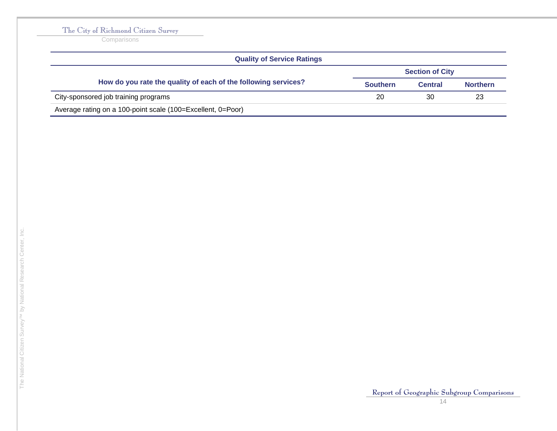**Comparisons** 

| <b>Quality of Service Ratings</b>                              |                 |                        |                 |  |  |
|----------------------------------------------------------------|-----------------|------------------------|-----------------|--|--|
|                                                                |                 | <b>Section of City</b> |                 |  |  |
| How do you rate the quality of each of the following services? | <b>Southern</b> | <b>Central</b>         | <b>Northern</b> |  |  |
| City-sponsored job training programs                           | 20              | 30                     | 23              |  |  |
| Average rating on a 100-point scale (100=Excellent, 0=Poor)    |                 |                        |                 |  |  |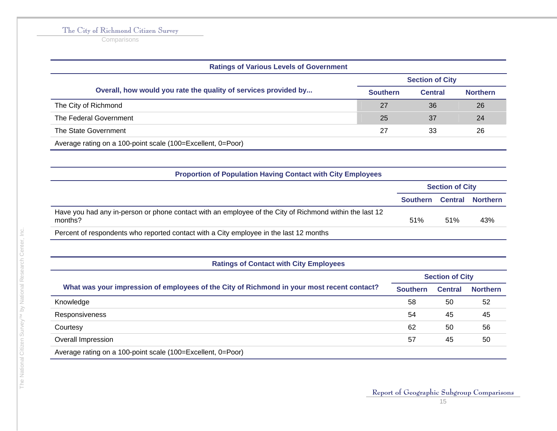**Comparisons** 

| <b>Ratings of Various Levels of Government</b>                  |                        |                |                 |
|-----------------------------------------------------------------|------------------------|----------------|-----------------|
|                                                                 | <b>Section of City</b> |                |                 |
| Overall, how would you rate the quality of services provided by | <b>Southern</b>        | <b>Central</b> | <b>Northern</b> |
| The City of Richmond                                            | 27                     | 36             | 26              |
| The Federal Government                                          | 25                     | 37             | 24              |
| The State Government                                            | 27                     | 33             | 26              |
| Average rating on a 100-point scale (100=Excellent, 0=Poor)     |                        |                |                 |

| <b>Proportion of Population Having Contact with City Employees</b>                                                 |                           |     |     |
|--------------------------------------------------------------------------------------------------------------------|---------------------------|-----|-----|
|                                                                                                                    | <b>Section of City</b>    |     |     |
|                                                                                                                    | Southern Central Northern |     |     |
| Have you had any in-person or phone contact with an employee of the City of Richmond within the last 12<br>months? | 51%                       | 51% | 43% |
| Percent of respondents who reported contact with a City employee in the last 12 months                             |                           |     |     |

#### **Ratings of Contact with City Employees**

|                                                                                            | <b>Section of City</b> |                |                 |
|--------------------------------------------------------------------------------------------|------------------------|----------------|-----------------|
| What was your impression of employees of the City of Richmond in your most recent contact? | <b>Southern</b>        | <b>Central</b> | <b>Northern</b> |
| Knowledge                                                                                  | 58                     | 50             | 52              |
| Responsiveness                                                                             | 54                     | 45             | 45              |
| Courtesy                                                                                   | 62                     | 50             | 56              |
| Overall Impression                                                                         | 57                     | 45             | 50              |
| Average rating on a 100-point scale (100=Excellent, 0=Poor)                                |                        |                |                 |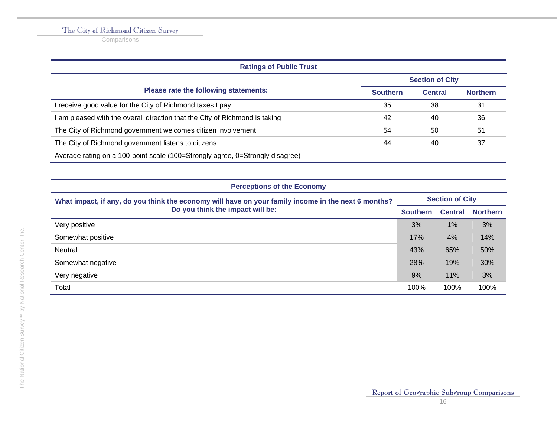**Comparisons** 

| <b>Ratings of Public Trust</b>                                                |                        |                |                 |
|-------------------------------------------------------------------------------|------------------------|----------------|-----------------|
|                                                                               | <b>Section of City</b> |                |                 |
| Please rate the following statements:                                         | <b>Southern</b>        | <b>Central</b> | <b>Northern</b> |
| receive good value for the City of Richmond taxes I pay                       | 35                     | 38             | 31              |
| am pleased with the overall direction that the City of Richmond is taking     | 42                     | 40             | 36              |
| The City of Richmond government welcomes citizen involvement                  | 54                     | 50             | 51              |
| The City of Richmond government listens to citizens                           | 44                     | 40             | 37              |
| Average rating on a 100-point scale (100=Strongly agree, 0=Strongly disagree) |                        |                |                 |

| <b>Perceptions of the Economy</b>                                                                                                       |                        |                |                 |
|-----------------------------------------------------------------------------------------------------------------------------------------|------------------------|----------------|-----------------|
| What impact, if any, do you think the economy will have on your family income in the next 6 months?<br>Do you think the impact will be: | <b>Section of City</b> |                |                 |
|                                                                                                                                         | <b>Southern</b>        | <b>Central</b> | <b>Northern</b> |
| Very positive                                                                                                                           | 3%                     | 1%             | 3%              |
| Somewhat positive                                                                                                                       | 17%                    | 4%             | 14%             |
| <b>Neutral</b>                                                                                                                          | 43%                    | 65%            | 50%             |
| Somewhat negative                                                                                                                       | 28%                    | 19%            | 30%             |
| Very negative                                                                                                                           | 9%                     | 11%            | 3%              |
| Total                                                                                                                                   | 100%                   | 100%           | 100%            |